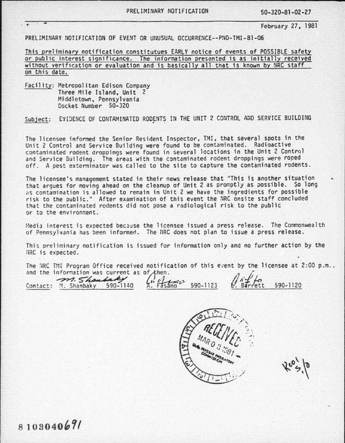PRELIMINART NOTIFICATION 50-320-81-02-27<br>February 27, 1981

PRELIMINARY NOTIFICATION OF EVENT OR UNUSUAL OCCURRENCE--PNO-TMI-81-06

Jhis preliminary notification constitutues EARLY notice of events of POSSIBLE safety *or* oublic interest significance. The information oresented is as initially received without verification or evaluation and is basically all that is known by NRC staff on this date.

Facility: Metropolitan Edison Company *Three* Mile Island, Unit 2 Hiddletown, Pennsylvania Docket Number 50-320

Subject: EVIDENCE OF CONTAMINATED RODENTS IN THE UNIT 2 CONTROL AND SERVICE BUILDING

The licensee informed the Senior Resident Inspector, TMI, that several spots in the Unit 2 Control and Service Building were found to be contaminated. Radioactive contaminated rodent droppings were found in several locations in the Unit 2 Control<br>and Service Building. The areas with the contaminated rodent droppings were roped off. A pest exterminator was called to the site to capture the contaminated rodents.

The licensee's management stated in their news release that "This is another situation that argues for moving ahead on the cleanup of Unit 2 as promptly as possible. So long  $i$ s contamination is allowed to remain in Unit 2 we have the ingredients for possible<br>risk to the public." After examination of this event the NRC onsite staff concluded that the contaminated rodents did not pose a radiological risk to the public or to the environment.

Media interest is expected because the licensee issued a press release. The Commonwealth of Pennsylvania has been informed. The NRC does not plan to issue a press release.

This preliminary notification is issued for information only and no further action by the NRC is expected.

The NRC TMI Program Office received notification of this event by the licensee at 2:00 p.m., The NRC TMI Program Office received notification of this event by the license of the information was current as of then.<br>and the information was current as of then.<br> $\int_0^1 i f(r) dr dr$ and the information was current as of then.<br>Contact: M. Shanbaky 590-1140 ... Fasano 590-1123 ... Barrett 590-1120